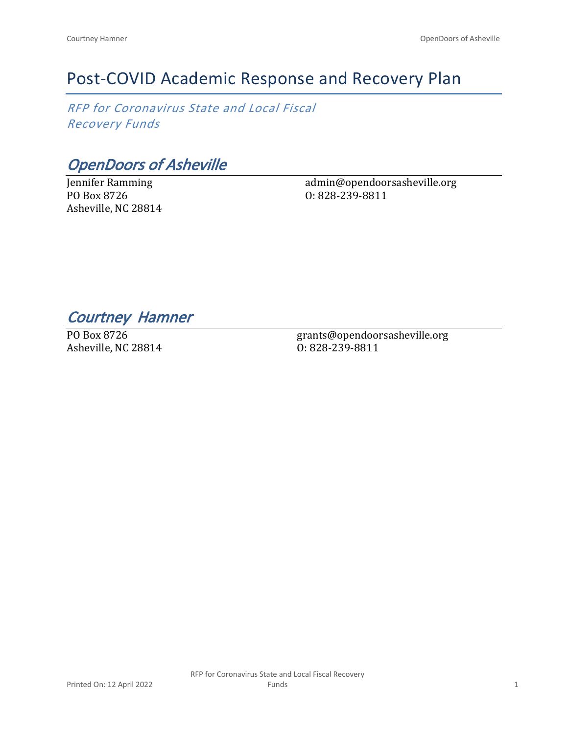# Post-COVID Academic Response and Recovery Plan

*RFP for Coronavirus State and Local Fiscal Recovery Funds*

*OpenDoors of Asheville*

Jennifer Ramming PO Box 8726 Asheville, NC 28814 admin@opendoorsasheville.org O: 828-239-8811

*Courtney Hamner* 

PO Box 8726 Asheville, NC 28814

grants@opendoorsasheville.org O: 828-239-8811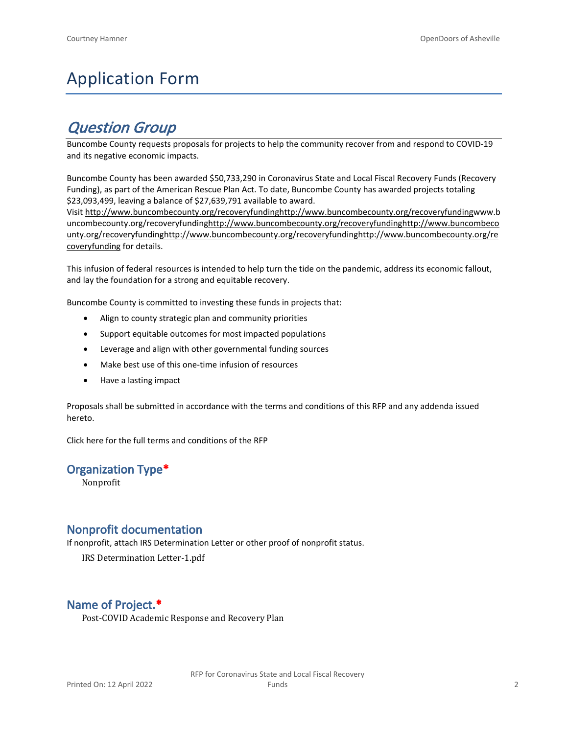# Application Form

## *Question Group*

Buncombe County requests proposals for projects to help the community recover from and respond to COVID-19 and its negative economic impacts.

Buncombe County has been awarded \$50,733,290 in Coronavirus State and Local Fiscal Recovery Funds (Recovery Funding), as part of the American Rescue Plan Act. To date, Buncombe County has awarded projects totaling \$23,093,499, leaving a balance of \$27,639,791 available to award.

Visit [http://www.buncombecounty.org/recoveryfundinghttp://www.buncombecounty.org/recoveryfundingwww.b](http://www.buncombecounty.org/recoveryfunding) [uncombecounty.org/recoveryfundinghttp://www.buncombecounty.org/recoveryfundinghttp://www.buncombeco](http://www.buncombecounty.org/recoveryfunding) [unty.org/recoveryfundinghttp://www.buncombecounty.org/recoveryfundinghttp://www.buncombecounty.org/re](http://www.buncombecounty.org/recoveryfunding) [coveryfunding](http://www.buncombecounty.org/recoveryfunding) for details.

This infusion of federal resources is intended to help turn the tide on the pandemic, address its economic fallout, and lay the foundation for a strong and equitable recovery.

Buncombe County is committed to investing these funds in projects that:

- Align to county strategic plan and community priorities
- Support equitable outcomes for most impacted populations
- Leverage and align with other governmental funding sources
- Make best use of this one-time infusion of resources
- Have a lasting impact

Proposals shall be submitted in accordance with the terms and conditions of this RFP and any addenda issued hereto.

Click [here](https://www.buncombecounty.org/common/purchasing/Buncombe%20Recovery%20Funding%20RFP%202022.pdf) for the full terms and conditions of the RFP

#### **Organization Type\***

Nonprofit

#### **Nonprofit documentation**

If nonprofit, attach IRS Determination Letter or other proof of nonprofit status.

IRS Determination Letter-1.pdf

## **Name of Project.\***

Post-COVID Academic Response and Recovery Plan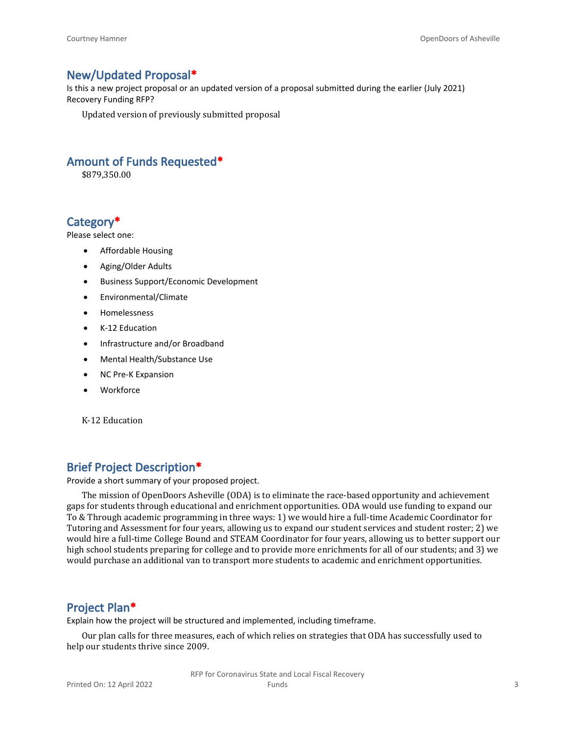### **New/Updated Proposal\***

Is this a new project proposal or an updated version of a proposal submitted during the earlier (July 2021) Recovery Funding RFP?

Updated version of previously submitted proposal

### **Amount of Funds Requested\***

\$879,350.00

### **Category\***

Please select one:

- Affordable Housing
- Aging/Older Adults
- Business Support/Economic Development
- Environmental/Climate
- Homelessness
- K-12 Education
- Infrastructure and/or Broadband
- Mental Health/Substance Use
- NC Pre-K Expansion
- Workforce

K-12 Education

#### **Brief Project Description\***

Provide a short summary of your proposed project.

The mission of OpenDoors Asheville (ODA) is to eliminate the race-based opportunity and achievement gaps for students through educational and enrichment opportunities. ODA would use funding to expand our To & Through academic programming in three ways: 1) we would hire a full-time Academic Coordinator for Tutoring and Assessment for four years, allowing us to expand our student services and student roster; 2) we would hire a full-time College Bound and STEAM Coordinator for four years, allowing us to better support our high school students preparing for college and to provide more enrichments for all of our students; and 3) we would purchase an additional van to transport more students to academic and enrichment opportunities.

#### **Project Plan\***

Explain how the project will be structured and implemented, including timeframe.

Our plan calls for three measures, each of which relies on strategies that ODA has successfully used to help our students thrive since 2009.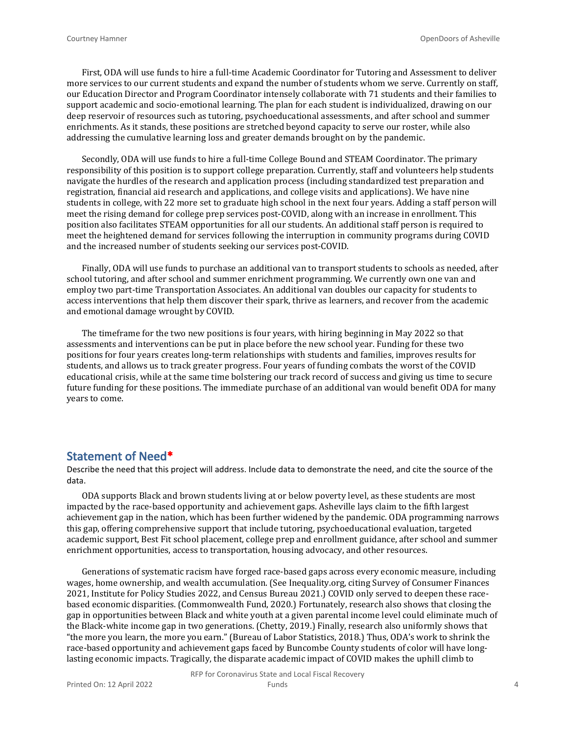First, ODA will use funds to hire a full-time Academic Coordinator for Tutoring and Assessment to deliver more services to our current students and expand the number of students whom we serve. Currently on staff, our Education Director and Program Coordinator intensely collaborate with 71 students and their families to support academic and socio-emotional learning. The plan for each student is individualized, drawing on our deep reservoir of resources such as tutoring, psychoeducational assessments, and after school and summer enrichments. As it stands, these positions are stretched beyond capacity to serve our roster, while also addressing the cumulative learning loss and greater demands brought on by the pandemic.

Secondly, ODA will use funds to hire a full-time College Bound and STEAM Coordinator. The primary responsibility of this position is to support college preparation. Currently, staff and volunteers help students navigate the hurdles of the research and application process (including standardized test preparation and registration, financial aid research and applications, and college visits and applications). We have nine students in college, with 22 more set to graduate high school in the next four years. Adding a staff person will meet the rising demand for college prep services post-COVID, along with an increase in enrollment. This position also facilitates STEAM opportunities for all our students. An additional staff person is required to meet the heightened demand for services following the interruption in community programs during COVID and the increased number of students seeking our services post-COVID.

Finally, ODA will use funds to purchase an additional van to transport students to schools as needed, after school tutoring, and after school and summer enrichment programming. We currently own one van and employ two part-time Transportation Associates. An additional van doubles our capacity for students to access interventions that help them discover their spark, thrive as learners, and recover from the academic and emotional damage wrought by COVID.

The timeframe for the two new positions is four years, with hiring beginning in May 2022 so that assessments and interventions can be put in place before the new school year. Funding for these two positions for four years creates long-term relationships with students and families, improves results for students, and allows us to track greater progress. Four years of funding combats the worst of the COVID educational crisis, while at the same time bolstering our track record of success and giving us time to secure future funding for these positions. The immediate purchase of an additional van would benefit ODA for many years to come.

#### **Statement of Need\***

Describe the need that this project will address. Include data to demonstrate the need, and cite the source of the data.

ODA supports Black and brown students living at or below poverty level, as these students are most impacted by the race-based opportunity and achievement gaps. Asheville lays claim to the fifth largest achievement gap in the nation, which has been further widened by the pandemic. ODA programming narrows this gap, offering comprehensive support that include tutoring, psychoeducational evaluation, targeted academic support, Best Fit school placement, college prep and enrollment guidance, after school and summer enrichment opportunities, access to transportation, housing advocacy, and other resources.

Generations of systematic racism have forged race-based gaps across every economic measure, including wages, home ownership, and wealth accumulation. (See Inequality.org, citing Survey of Consumer Finances 2021, Institute for Policy Studies 2022, and Census Bureau 2021.) COVID only served to deepen these racebased economic disparities. (Commonwealth Fund, 2020.) Fortunately, research also shows that closing the gap in opportunities between Black and white youth at a given parental income level could eliminate much of the Black-white income gap in two generations. (Chetty, 2019.) Finally, research also uniformly shows that "the more you learn, the more you earn." (Bureau of Labor Statistics, 2018.) Thus, ODA's work to shrink the race-based opportunity and achievement gaps faced by Buncombe County students of color will have longlasting economic impacts. Tragically, the disparate academic impact of COVID makes the uphill climb to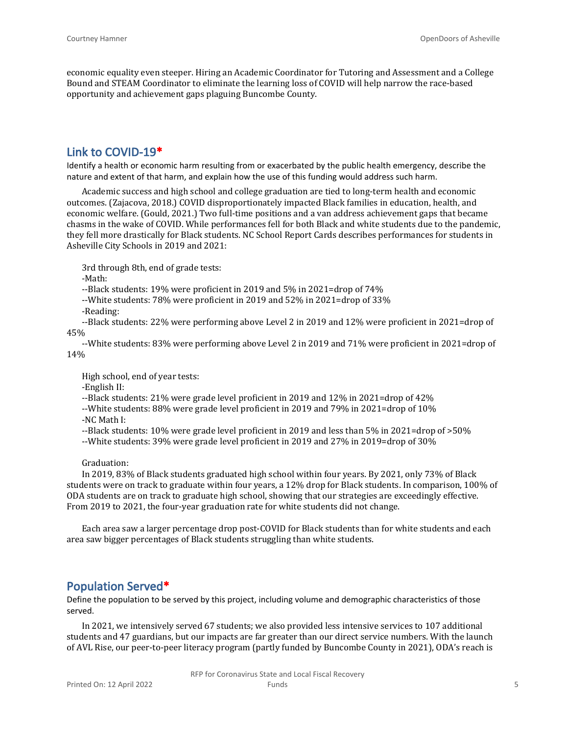economic equality even steeper. Hiring an Academic Coordinator for Tutoring and Assessment and a College Bound and STEAM Coordinator to eliminate the learning loss of COVID will help narrow the race-based opportunity and achievement gaps plaguing Buncombe County.

## **Link to COVID-19\***

Identify a health or economic harm resulting from or exacerbated by the public health emergency, describe the nature and extent of that harm, and explain how the use of this funding would address such harm.

Academic success and high school and college graduation are tied to long-term health and economic outcomes. (Zajacova, 2018.) COVID disproportionately impacted Black families in education, health, and economic welfare. (Gould, 2021.) Two full-time positions and a van address achievement gaps that became chasms in the wake of COVID. While performances fell for both Black and white students due to the pandemic, they fell more drastically for Black students. NC School Report Cards describes performances for students in Asheville City Schools in 2019 and 2021:

3rd through 8th, end of grade tests:

-Math:

--Black students: 19% were proficient in 2019 and 5% in 2021=drop of 74%

- --White students: 78% were proficient in 2019 and 52% in 2021=drop of 33%
- -Reading:

--Black students: 22% were performing above Level 2 in 2019 and 12% were proficient in 2021=drop of 45%

--White students: 83% were performing above Level 2 in 2019 and 71% were proficient in 2021=drop of 14%

High school, end of year tests:

- -English II:
- --Black students: 21% were grade level proficient in 2019 and 12% in 2021=drop of 42%
- --White students: 88% were grade level proficient in 2019 and 79% in 2021=drop of 10% -NC Math I:
- 

--Black students: 10% were grade level proficient in 2019 and less than 5% in 2021=drop of >50%

--White students: 39% were grade level proficient in 2019 and 27% in 2019=drop of 30%

Graduation:

In 2019, 83% of Black students graduated high school within four years. By 2021, only 73% of Black students were on track to graduate within four years, a 12% drop for Black students. In comparison, 100% of ODA students are on track to graduate high school, showing that our strategies are exceedingly effective. From 2019 to 2021, the four-year graduation rate for white students did not change.

Each area saw a larger percentage drop post-COVID for Black students than for white students and each area saw bigger percentages of Black students struggling than white students.

#### **Population Served\***

Define the population to be served by this project, including volume and demographic characteristics of those served.

In 2021, we intensively served 67 students; we also provided less intensive services to 107 additional students and 47 guardians, but our impacts are far greater than our direct service numbers. With the launch of AVL Rise, our peer-to-peer literacy program (partly funded by Buncombe County in 2021), ODA's reach is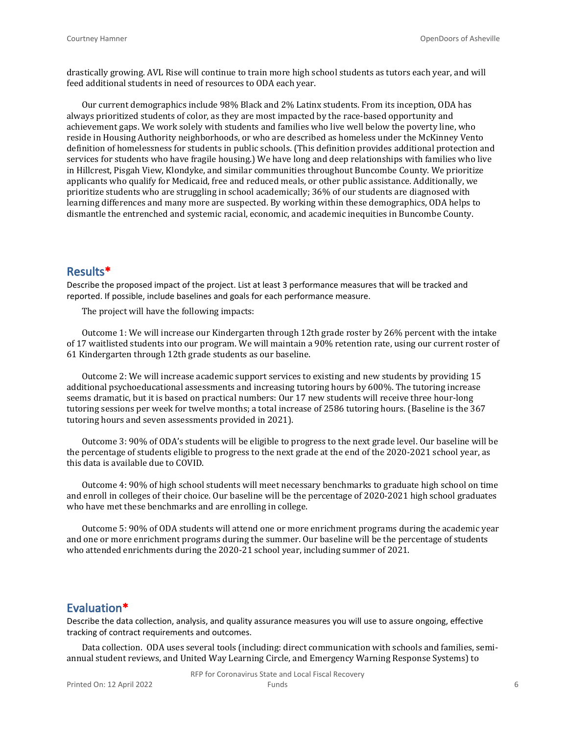drastically growing. AVL Rise will continue to train more high school students as tutors each year, and will feed additional students in need of resources to ODA each year.

Our current demographics include 98% Black and 2% Latinx students. From its inception, ODA has always prioritized students of color, as they are most impacted by the race-based opportunity and achievement gaps. We work solely with students and families who live well below the poverty line, who reside in Housing Authority neighborhoods, or who are described as homeless under the McKinney Vento definition of homelessness for students in public schools. (This definition provides additional protection and services for students who have fragile housing.) We have long and deep relationships with families who live in Hillcrest, Pisgah View, Klondyke, and similar communities throughout Buncombe County. We prioritize applicants who qualify for Medicaid, free and reduced meals, or other public assistance. Additionally, we prioritize students who are struggling in school academically; 36% of our students are diagnosed with learning differences and many more are suspected. By working within these demographics, ODA helps to dismantle the entrenched and systemic racial, economic, and academic inequities in Buncombe County.

#### **Results\***

Describe the proposed impact of the project. List at least 3 performance measures that will be tracked and reported. If possible, include baselines and goals for each performance measure.

The project will have the following impacts:

Outcome 1: We will increase our Kindergarten through 12th grade roster by 26% percent with the intake of 17 waitlisted students into our program. We will maintain a 90% retention rate, using our current roster of 61 Kindergarten through 12th grade students as our baseline.

Outcome 2: We will increase academic support services to existing and new students by providing 15 additional psychoeducational assessments and increasing tutoring hours by 600%. The tutoring increase seems dramatic, but it is based on practical numbers: Our 17 new students will receive three hour-long tutoring sessions per week for twelve months; a total increase of 2586 tutoring hours. (Baseline is the 367 tutoring hours and seven assessments provided in 2021).

Outcome 3: 90% of ODA's students will be eligible to progress to the next grade level. Our baseline will be the percentage of students eligible to progress to the next grade at the end of the 2020-2021 school year, as this data is available due to COVID.

Outcome 4: 90% of high school students will meet necessary benchmarks to graduate high school on time and enroll in colleges of their choice. Our baseline will be the percentage of 2020-2021 high school graduates who have met these benchmarks and are enrolling in college.

Outcome 5: 90% of ODA students will attend one or more enrichment programs during the academic year and one or more enrichment programs during the summer. Our baseline will be the percentage of students who attended enrichments during the 2020-21 school year, including summer of 2021.

#### **Evaluation\***

Describe the data collection, analysis, and quality assurance measures you will use to assure ongoing, effective tracking of contract requirements and outcomes.

Data collection. ODA uses several tools (including: direct communication with schools and families, semiannual student reviews, and United Way Learning Circle, and Emergency Warning Response Systems) to

RFP for Coronavirus State and Local Fiscal Recovery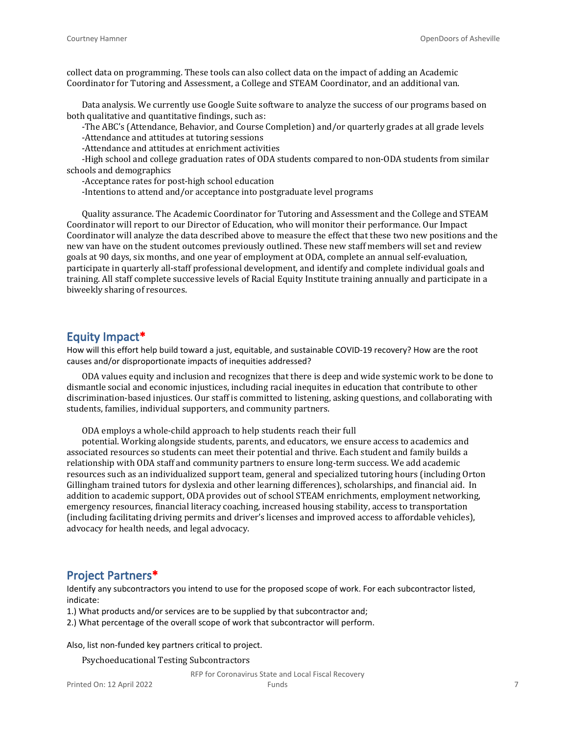collect data on programming. These tools can also collect data on the impact of adding an Academic Coordinator for Tutoring and Assessment, a College and STEAM Coordinator, and an additional van.

Data analysis. We currently use Google Suite software to analyze the success of our programs based on both qualitative and quantitative findings, such as:

-The ABC's (Attendance, Behavior, and Course Completion) and/or quarterly grades at all grade levels -Attendance and attitudes at tutoring sessions

-Attendance and attitudes at enrichment activities

-High school and college graduation rates of ODA students compared to non-ODA students from similar schools and demographics

-Acceptance rates for post-high school education

-Intentions to attend and/or acceptance into postgraduate level programs

Quality assurance. The Academic Coordinator for Tutoring and Assessment and the College and STEAM Coordinator will report to our Director of Education, who will monitor their performance. Our Impact Coordinator will analyze the data described above to measure the effect that these two new positions and the new van have on the student outcomes previously outlined. These new staff members will set and review goals at 90 days, six months, and one year of employment at ODA, complete an annual self-evaluation, participate in quarterly all-staff professional development, and identify and complete individual goals and training. All staff complete successive levels of Racial Equity Institute training annually and participate in a biweekly sharing of resources.

#### **Equity Impact\***

How will this effort help build toward a just, equitable, and sustainable COVID-19 recovery? How are the root causes and/or disproportionate impacts of inequities addressed?

ODA values equity and inclusion and recognizes that there is deep and wide systemic work to be done to dismantle social and economic injustices, including racial inequites in education that contribute to other discrimination-based injustices. Our staff is committed to listening, asking questions, and collaborating with students, families, individual supporters, and community partners.

ODA employs a whole-child approach to help students reach their full

potential. Working alongside students, parents, and educators, we ensure access to academics and associated resources so students can meet their potential and thrive. Each student and family builds a relationship with ODA staff and community partners to ensure long-term success. We add academic resources such as an individualized support team, general and specialized tutoring hours (including Orton Gillingham trained tutors for dyslexia and other learning differences), scholarships, and financial aid. In addition to academic support, ODA provides out of school STEAM enrichments, employment networking, emergency resources, financial literacy coaching, increased housing stability, access to transportation (including facilitating driving permits and driver's licenses and improved access to affordable vehicles), advocacy for health needs, and legal advocacy.

#### **Project Partners\***

Identify any subcontractors you intend to use for the proposed scope of work. For each subcontractor listed, indicate:

1.) What products and/or services are to be supplied by that subcontractor and;

2.) What percentage of the overall scope of work that subcontractor will perform.

Also, list non-funded key partners critical to project.

Psychoeducational Testing Subcontractors

RFP for Coronavirus State and Local Fiscal Recovery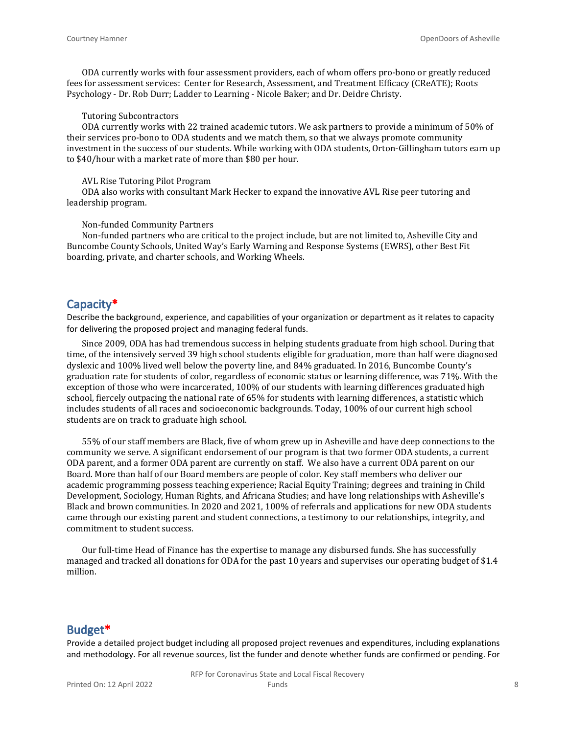ODA currently works with four assessment providers, each of whom offers pro-bono or greatly reduced fees for assessment services: Center for Research, Assessment, and Treatment Efficacy (CReATE); Roots Psychology - Dr. Rob Durr; Ladder to Learning - Nicole Baker; and Dr. Deidre Christy.

#### Tutoring Subcontractors

ODA currently works with 22 trained academic tutors. We ask partners to provide a minimum of 50% of their services pro-bono to ODA students and we match them, so that we always promote community investment in the success of our students. While working with ODA students, Orton-Gillingham tutors earn up to \$40/hour with a market rate of more than \$80 per hour.

#### AVL Rise Tutoring Pilot Program

ODA also works with consultant Mark Hecker to expand the innovative AVL Rise peer tutoring and leadership program.

#### Non-funded Community Partners

Non-funded partners who are critical to the project include, but are not limited to, Asheville City and Buncombe County Schools, United Way's Early Warning and Response Systems (EWRS), other Best Fit boarding, private, and charter schools, and Working Wheels.

#### **Capacity\***

Describe the background, experience, and capabilities of your organization or department as it relates to capacity for delivering the proposed project and managing federal funds.

Since 2009, ODA has had tremendous success in helping students graduate from high school. During that time, of the intensively served 39 high school students eligible for graduation, more than half were diagnosed dyslexic and 100% lived well below the poverty line, and 84% graduated. In 2016, Buncombe County's graduation rate for students of color, regardless of economic status or learning difference, was 71%. With the exception of those who were incarcerated, 100% of our students with learning differences graduated high school, fiercely outpacing the national rate of 65% for students with learning differences, a statistic which includes students of all races and socioeconomic backgrounds. Today, 100% of our current high school students are on track to graduate high school.

55% of our staff members are Black, five of whom grew up in Asheville and have deep connections to the community we serve. A significant endorsement of our program is that two former ODA students, a current ODA parent, and a former ODA parent are currently on staff. We also have a current ODA parent on our Board. More than half of our Board members are people of color. Key staff members who deliver our academic programming possess teaching experience; Racial Equity Training; degrees and training in Child Development, Sociology, Human Rights, and Africana Studies; and have long relationships with Asheville's Black and brown communities. In 2020 and 2021, 100% of referrals and applications for new ODA students came through our existing parent and student connections, a testimony to our relationships, integrity, and commitment to student success.

Our full-time Head of Finance has the expertise to manage any disbursed funds. She has successfully managed and tracked all donations for ODA for the past 10 years and supervises our operating budget of \$1.4 million.

#### **Budget\***

Provide a detailed project budget including all proposed project revenues and expenditures, including explanations and methodology. For all revenue sources, list the funder and denote whether funds are confirmed or pending. For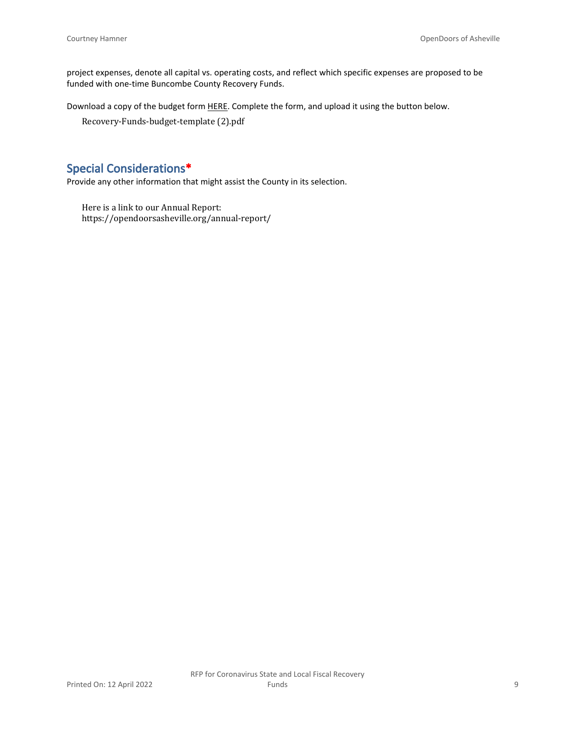project expenses, denote all capital vs. operating costs, and reflect which specific expenses are proposed to be funded with one-time Buncombe County Recovery Funds.

Download a copy of the budget form [HERE](https://buncombecounty.org/common/community-investment/grants/early-childhood-education/Recovery-Funds-budget-template.xlsx). Complete the form, and upload it using the button below.

Recovery-Funds-budget-template (2).pdf

## **Special Considerations\***

Provide any other information that might assist the County in its selection.

Here is a link to our Annual Report: https://opendoorsasheville.org/annual-report/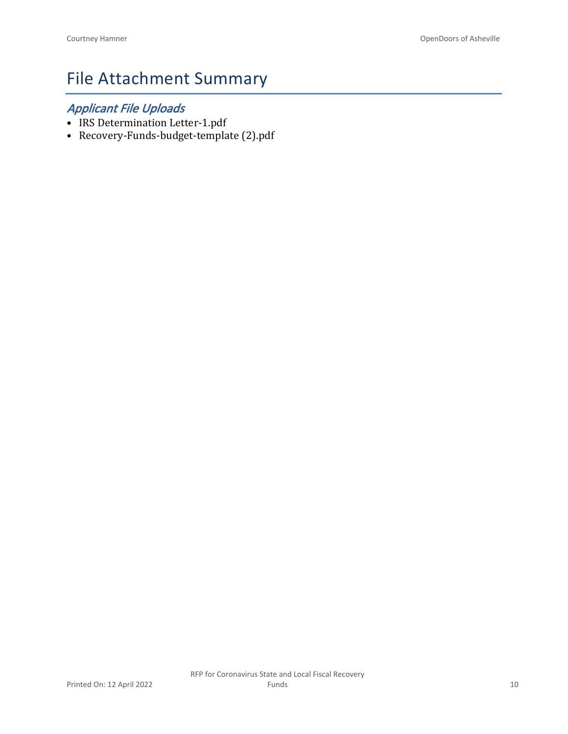# File Attachment Summary

## *Applicant File Uploads*

- IRS Determination Letter-1.pdf
- Recovery-Funds-budget-template (2).pdf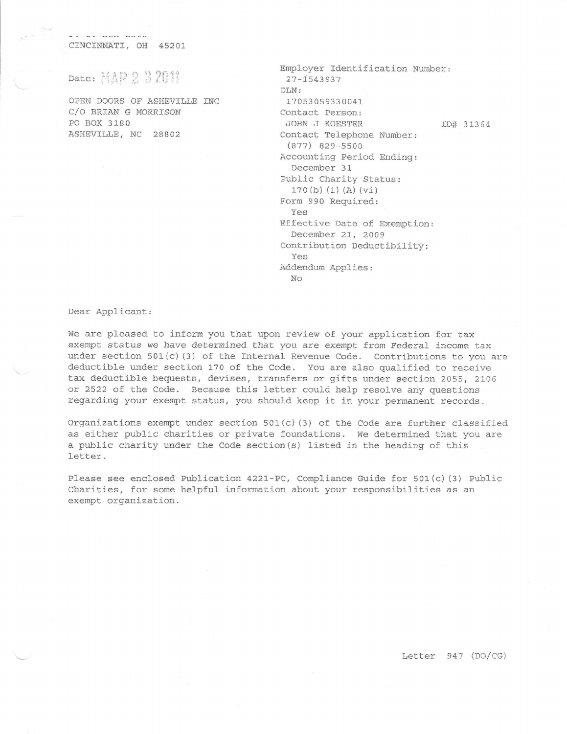CINCINNATI, OH 45201

Date: MAR 2 3 2011

OPEN DOORS OF ASHEVILLE INC C/O BRIAN G MORRISON PO BOX 3180 ASHEVILLE, NC 28802

| Employer Identification Number: |  |
|---------------------------------|--|
| $27 - 1543937$                  |  |
| DLN:                            |  |
| 17053059330041                  |  |
| Contact Person:                 |  |
| JOHN J KOESTER<br>ID# 31364     |  |
| Contact Telephone Number:       |  |
| $(877)$ 829-5500                |  |
| Accounting Period Ending:       |  |
| December 31                     |  |
| Public Charity Status:          |  |
| 170(b) (1) (A) (V1)             |  |
| Form 990 Required:              |  |
| Yes                             |  |
| Effective Date of Exemption:    |  |
| December 21, 2009               |  |
| Contribution Deductibility:     |  |
| Yes                             |  |
| Addendum Applies:               |  |
| No                              |  |

Dear Applicant:

We are pleased to inform you that upon review of your application for tax exempt status we have determined that you are exempt from Federal income tax under section 501(c)(3) of the Internal Revenue Code. Contributions to you are deductible under section 170 of the Code. You are also qualified to receive tax deductible bequests, devises, transfers or gifts under section 2055, 2106 or 2522 of the Code. Because this letter could help resolve any questions regarding your exempt status, you should keep it in your permanent records.

Organizations exempt under section  $501(c)$  (3) of the Code are further classified as either public charities or private foundations. We determined that you are a public charity under the Code section(s) listed in the heading of this letter.

Please see enclosed Publication 4221-PC, Compliance Guide for 501(c)(3) Public Charities, for some helpful information about your responsibilities as an exempt organization.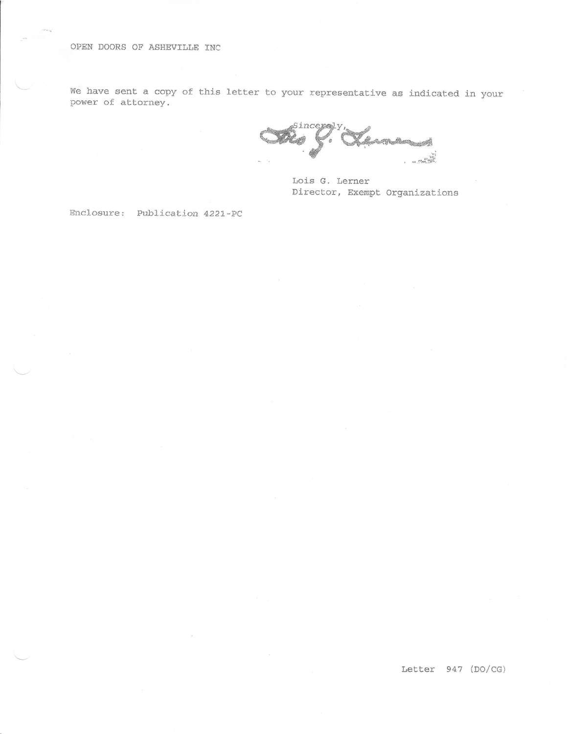#### OPEN DOORS OF ASHEVILLE INC

We have sent a copy of this letter to your representative as indicated in your power of attorney.

Sincerely <u>Ara, 7</u> e yn 

Lois G. Lerner Director, Exempt Organizations

Enclosure: Publication 4221-PC